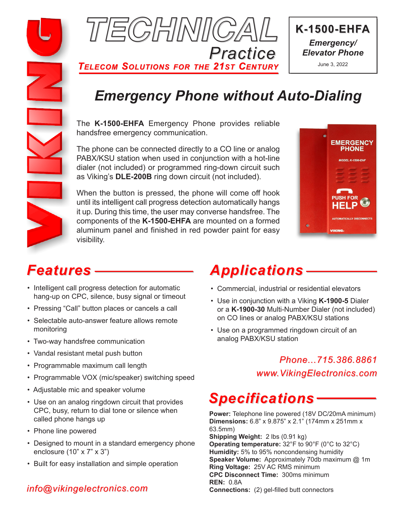



*TELECOM SOLUTIONS FOR THE 21ST CENTURY*



June 3, 2022

# *Emergency Phone without Auto-Dialing*

The **K-1500-EHFA** Emergency Phone provides reliable handsfree emergency communication.

The phone can be connected directly to a CO line or analog PABX/KSU station when used in conjunction with a hot-line dialer (not included) or programmed ring-down circuit such as Viking's **DLE-200B** ring down circuit (not included).

When the button is pressed, the phone will come off hook until its intelligent call progress detection automatically hangs it up. During this time, the user may converse handsfree. The components of the **K-1500-EHFA** are mounted on a formed aluminum panel and finished in red powder paint for easy visibility.



# *Features*

- Intelligent call progress detection for automatic hang-up on CPC, silence, busy signal or timeout
- Pressing "Call" button places or cancels a call
- Selectable auto-answer feature allows remote monitoring
- Two-way handsfree communication
- Vandal resistant metal push button
- Programmable maximum call length
- Programmable VOX (mic/speaker) switching speed
- Adjustable mic and speaker volume
- Use on an analog ringdown circuit that provides CPC, busy, return to dial tone or silence when called phone hangs up
- Phone line powered
- Designed to mount in a standard emergency phone enclosure (10" x 7" x 3")
- Built for easy installation and simple operation

# *info@vikingelectronics.com*

# *Applications*

- Commercial, industrial or residential elevators
- Use in conjunction with a Viking **K-1900-5** Dialer or a **K-1900-30** Multi-Number Dialer (not included) on CO lines or analog PABX/KSU stations
- Use on a programmed ringdown circuit of an analog PABX/KSU station

# *Phone...715.386.8861 www.VikingElectronics.com*

# *Specifications*

**Power:** Telephone line powered (18V DC/20mA minimum) **Dimensions:** 6.8" x 9.875" x 2.1" (174mm x 251mm x 63.5mm) **Shipping Weight:** 2 lbs (0.91 kg) **Operating temperature:** 32°F to 90°F (0°C to 32°C) **Humidity:** 5% to 95% noncondensing humidity **Speaker Volume:** Approximately 70db maximum @ 1m **Ring Voltage:** 25V AC RMS minimum **CPC Disconnect Time:** 300ms minimum **REN:** 0.8A **Connections:** (2) gel-filled butt connectors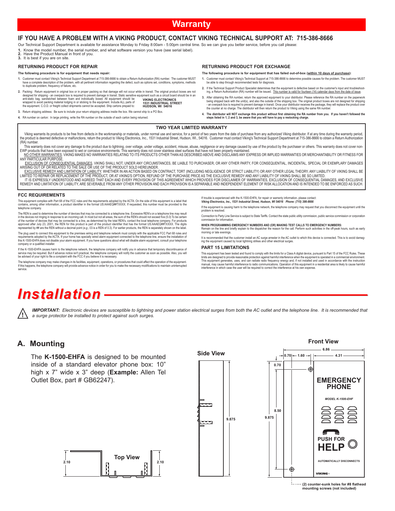## **Warranty**

#### **IF YOU HAVE A PROBLEM WITH A VIKING PRODUCT, CONTACT VIKING TECHNICAL SUPPORT AT: 715-386-8666**

Our Technical Support Department is available for assistance Monday to Friday 8:00am - 5:00pm central time. So we can give you better service, before you call please:

- **1.** Know the model number, the serial number, and what software version you have (see serial label).<br>**2.** Have the Product Manual in front of you.<br>**3.** It is best if you are on site.
- 
- 

#### **RETURNING PRODUCT FOR REPAIR**

#### **The following procedure is for equipment that needs repair:**

- 1. Customer must contact Viking's Technical Support Department at 715-386-8666 to obtain a Return Authorization (RA) number. The customer MUST<br>have a complete description of the problem, with all pertinent information rega to duplicate problem, frequency of failure, etc.
- 2. Packing: Return equipment in original box or in proper packing so that damage will not occur while in transit. The original product boxes are not<br>designed for shipping an overpack box is required to prevent damage in **VIKING ELECTRONICS 1531 INDUSTRIAL STREET HUDSON, WI 54016**

**3.** Return shipping address: Be sure to include your return shipping address inside the box. We cannot ship to a PO Box.

**4.** RA number on carton: In large printing, write the RA number on the outside of each carton being returned. **4. The distributor will NOT exchange this product without first obtaining the RA number from you. If you haven't followed the steps listed in 1, 2 and 3, be aware that you will have to pay a restocking charge.** 

Viking warants its products to be free from defects in the workmanship or materials, under normal use and service, for a period of two years from the date of purchase from any authorized Viking distributor. If at any time (RA) number.

This warranty does not cover any damage to the product due to lightning, over voltage, under voltage, accident, misuse, abuse, negligence or any damage caused by use of the product by the purchaser or others. This warranty NO OTHER WARRANTIES. VIKING MAKES NO WARRANTIES RELATING TO ITS PRODUCTS OTHER THAN AS DESCRIBED ABOVE AND DISCLAIMS ANY EXPRESS OR IMPLIED WARRANTIES OR MERCHANTABILITY OR FITNESS FOR ANY PARTICULAR PURPOSE.

EXCLUSION OF CONSEQUENTIAL DAMAGES. VIKING SHALL NOT, UNDER ANY CIRCUMSTANCES, BE LIABLE TO PURCHASER, OR ANY OTHER PARTY, FOR CONSEQUENTIAL, INCIDENTAL, SPECIAL OR EXEMPLARY DAMAGES<br>ARISING OUT OF OR RELATED TO THE SALE O

EXCLUSIVE REMEDY AND LIMITATION OF LIABILITY. WHETHER IN AN ACTION BASED ON CONTRACT, TORT (INCLUDING NEGLIGENCE OR STRICT LIABILITY) OR ANY OTHER LEGAL THEORY, ANY LIABILITY OF VIKING SHALL BE SO LIMITED.<br>LIMITED TO REPAI IT IS EXPRESSLY UNDERSTOOD AND AGREED THAT EACH AND EVERY PROVISION OF THIS AGREEMENT WHICH PROVIDES FOR DISCLAIMER OF WARRANTIES, EXCLUSION OF CONSEQUENTIAL DAMAGES, AND EXCLUSIVE<br>REMEDY AND LIMITATION OF LIABILITY, ARE S

#### **FCC REQUIREMENTS**

This equipment complies with Part 68 of the FCC rules and the requirements adopted by the ACTA. On the side of this equipment is a label that<br>contains, among other information, a product identifier in the format US:AAAEQ#

The REN is used to determine the number of devices that may be connected to a telephone line. Excessive REN's on a telephone line may result in the devices that may be connected to all the number of the number of devices t

The plug used to connect this equipment to the premises wiring and telephone network must comply with the applicable FCC Part 68 rules and<br>requirements adopted by the ACTA. If your home has specially wired alarm equipment company or a qualified installer.

If the K-1500-EHFA causes harm to the telephone network, the telephone company will notify you in advance that temporary discontinuance of<br>service may be required. But if advance notice isn't practical, the telephone compa be advised of your right to file a complaint with the FCC if you believe it is necessary.

The telephone company may make changes in its facilities, equipment, operations, or procedures that could affect the operation of the equipment.<br>If this happens, the telephone company will provide advance notice in order f service.

If trouble is experienced with the K-1500-EHFA, for repair or warranty information, please contact: *Viking Electronics, Inc., 1531 Industrial Street, Hudson, WI 54016 Phone: (715) 386-8666*

**RETURNING PRODUCT FOR EXCHANGE**

**The following procedure is for equipment that has failed out-of-box (within 10 days of purchase): 1.** Customer must contact Viking's Technical Support at 715-386-8666 to determine possible causes for the problem. The customer MUST be able to step through recommended tests for diagnosis. 2. If the Technical Support Product Specialist determines that the equipment is defective based on the customer's input and troubleshoot-<br>ing, a Return Authorization (RA) number will be issued. This number is valid for fou 3. After obtaining the RA number, return the approved equipment to your distributor. Please reference the RA number on the paperwork<br>being shipped back with the unit(s), and also the outside of the shipping box. The origin - an overpack box is required to prevent damage in transit. Once your distributor receives the package, they will replace the product over<br>the counter at no charge. The distributor will then return the product to Viking us

If the equipment is causing harm to the telephone network, the telephone company may request that you disconnect the equipment until the problem is resolved.

Connection to Party Line Service is subject to State Tariffs. Contact the state public utility commission, public service commission or corporation commission for information.

**WHEN PROGRAMMING EMERGENCY NUMBERS AND (OR) MAKING TEST CALLS TO EMERGENCY NUMBERS:** Remain on the line and briefly explain to the dispatcher the reason for the call. Perform such activities in the off-peak hours, such as early

morning or late evenings. It is recommended that the customer install an AC surge arrester in the AC outlet to which this device is connected. This is to avoid damag-<br>ing the equipment caused by local lightning strikes and other electrical surges.

#### **PART 15 LIMITATIONS**

This equipment has been tested and found to comply with the limits for a Class A digital device, pursuant to Part 15 of the FCC Rules. These<br>limits are designed to provide reasonable prodection against harmful interference interference in which case the user will be required to correct the interference at his own expense.

# *Installation*

*IMPORTANT: Electronic devices are susceptible to lightning and power station electrical surges from both the AC outlet and the telephone line. It is recommended that*  **!** *a surge protector be installed to protect against such surges.* 

#### **A. Mounting**

The **K-1500-EHFA** is designed to be mounted inside of a standard elevator phone box: 10" high x 7" wide x 3" deep (**Example:** Allen Tel Outlet Box, part # GB62247).



**(2) counter-sunk holes for #8 flathead mounting screws (not included)**

![](_page_1_Figure_37.jpeg)

**Front View**

**TWO YEAR LIMITED WARRANTY**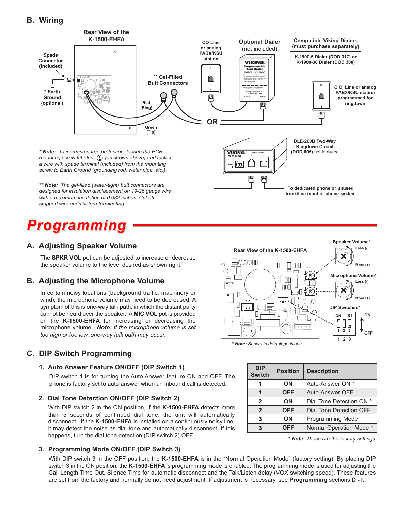![](_page_2_Figure_1.jpeg)

# *Programming*

## **A. Adjusting Speaker Volume**

The **SPKR VOL** pot can be adjusted to increase or decrease the speaker volume to the level desired as shown right.

### **B. Adjusting the Microphone Volume**

In certain noisy locations (background traffic, machinery or wind), the microphone volume may need to be decreased. A symptom of this is one-way talk path, in which the distant party cannot be heard over the speaker. A **MIC VOL** pot is provided on the **K-1500-EHFA** for increasing or decreasing the microphone volume. *Note: If the microphone volume is set too high or too low, one-way talk path may occur.*

# **C. DIP Switch Programming**

### **1. Auto Answer Feature ON/OFF (DIP Switch 1)**

DIP switch 1 is for turning the Auto Answer feature ON and OFF. The phone is factory set to auto answer when an inbound call is detected.

### **2. Dial Tone Detection ON/OFF (DIP Switch 2)**

With DIP switch 2 in the ON position, if the **K-1500-EHFA** detects more than 5 seconds of continued dial tone, the unit will automatically disconnect. If the **K-1500-EHFA** is installed on a continuously noisy line, it may detect the noise as dial tone and automatically disconnect. If this happens, turn the dial tone detection (DIP switch 2) OFF.

### **3. Programming Mode ON/OFF (DIP Switch 3)**

With DIP switch 3 in the OFF position, the **K-1500-EHFA** is in the "Normal Operation Mode" (factory setting). By placing DIP switch 3 in the ON position, the **K-1500-EHFA** 's programming mode is enabled. The programming mode is used for adjusting the Call Length Time Out, Silence Time for automatic disconnect and the Talk/Listen delay (VOX switching speed). These features are set from the factory and normally do not need adjustment. If adjustment is necessary, see **Programming** sections **D - I**.

![](_page_2_Figure_14.jpeg)

*\* Note: Shown in default positions.*

| <b>DIP</b><br><b>Switch</b> | <b>Position</b> | <b>Description</b>       |
|-----------------------------|-----------------|--------------------------|
|                             | ON              | Auto-Answer ON *         |
|                             | <b>OFF</b>      | Auto-Answer OFF          |
| $\overline{2}$              | ON              | Dial Tone Detection ON * |
| $\mathbf{2}$                | <b>OFF</b>      | Dial Tone Detection OFF  |
| 3                           | ON              | <b>Programming Mode</b>  |
| ર                           | OFF             | Normal Operation Mode *  |

*<sup>\*</sup> Note: These are the factory settings.*